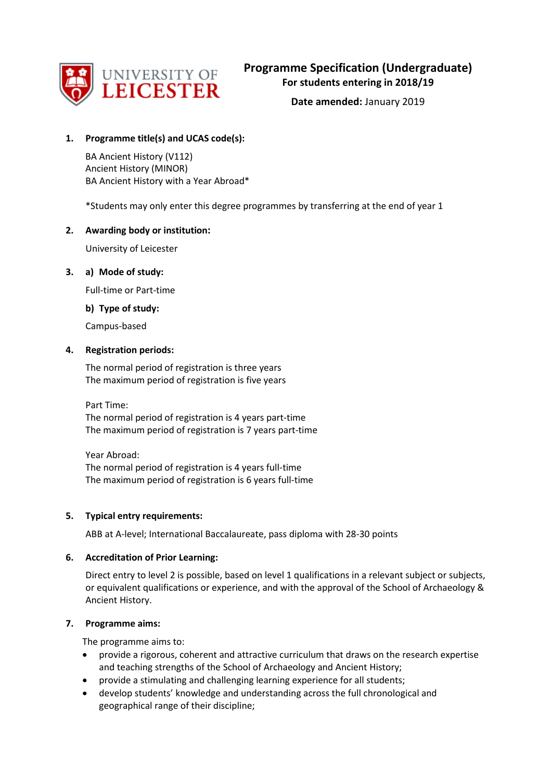

**Date amended:** January 2019

# **1. Programme title(s) and UCAS code(s):**

BA Ancient History (V112) Ancient History (MINOR) BA Ancient History with a Year Abroad\*

\*Students may only enter this degree programmes by transferring at the end of year 1

# **2. Awarding body or institution:**

University of Leicester

# **3. a) Mode of study:**

Full-time or Part-time

**b) Type of study:**

Campus-based

# **4. Registration periods:**

The normal period of registration is three years The maximum period of registration is five years

Part Time: The normal period of registration is 4 years part-time The maximum period of registration is 7 years part-time

Year Abroad: The normal period of registration is 4 years full-time The maximum period of registration is 6 years full-time

# **5. Typical entry requirements:**

ABB at A-level; International Baccalaureate, pass diploma with 28-30 points

# **6. Accreditation of Prior Learning:**

Direct entry to level 2 is possible, based on level 1 qualifications in a relevant subject or subjects, or equivalent qualifications or experience, and with the approval of the School of Archaeology & Ancient History.

# **7. Programme aims:**

The programme aims to:

- provide a rigorous, coherent and attractive curriculum that draws on the research expertise and teaching strengths of the School of Archaeology and Ancient History;
- provide a stimulating and challenging learning experience for all students;
- develop students' knowledge and understanding across the full chronological and geographical range of their discipline;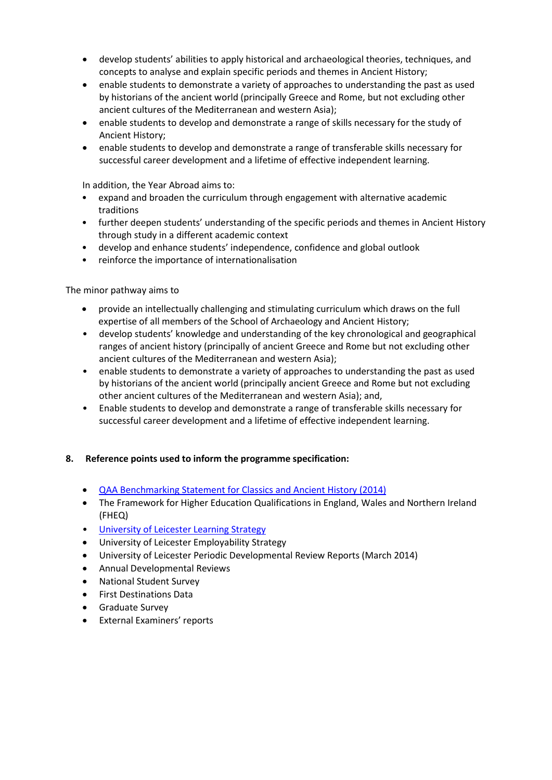- develop students' abilities to apply historical and archaeological theories, techniques, and concepts to analyse and explain specific periods and themes in Ancient History;
- enable students to demonstrate a variety of approaches to understanding the past as used by historians of the ancient world (principally Greece and Rome, but not excluding other ancient cultures of the Mediterranean and western Asia);
- enable students to develop and demonstrate a range of skills necessary for the study of Ancient History;
- enable students to develop and demonstrate a range of transferable skills necessary for successful career development and a lifetime of effective independent learning.

In addition, the Year Abroad aims to:

- expand and broaden the curriculum through engagement with alternative academic traditions
- further deepen students' understanding of the specific periods and themes in Ancient History through study in a different academic context
- develop and enhance students' independence, confidence and global outlook
- reinforce the importance of internationalisation

The minor pathway aims to

- provide an intellectually challenging and stimulating curriculum which draws on the full expertise of all members of the School of Archaeology and Ancient History;
- develop students' knowledge and understanding of the key chronological and geographical ranges of ancient history (principally of ancient Greece and Rome but not excluding other ancient cultures of the Mediterranean and western Asia);
- enable students to demonstrate a variety of approaches to understanding the past as used by historians of the ancient world (principally ancient Greece and Rome but not excluding other ancient cultures of the Mediterranean and western Asia); and,
- Enable students to develop and demonstrate a range of transferable skills necessary for successful career development and a lifetime of effective independent learning.

# **8. Reference points used to inform the programme specification:**

- [QAA Benchmarking Statement for Classics and Ancient History \(2014\)](http://www.qaa.ac.uk/en/Publications/Documents/SBS-classics-14.pdf)
- The Framework for Higher Education Qualifications in England, Wales and Northern Ireland (FHEQ)
- [University of Leicester Learning Strategy](http://www2.le.ac.uk/offices/sas2/quality/learnteach)
- University of Leicester Employability Strategy
- University of Leicester Periodic Developmental Review Reports (March 2014)
- Annual Developmental Reviews
- National Student Survey
- First Destinations Data
- Graduate Survey
- External Examiners' reports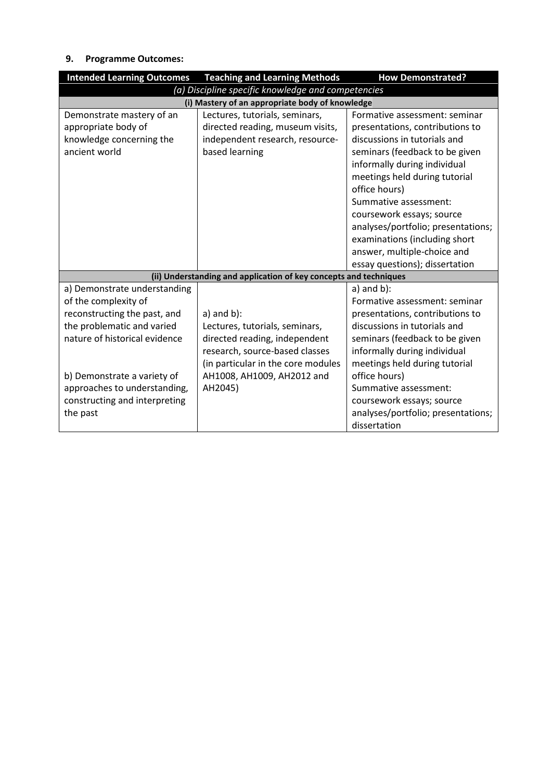# **9. Programme Outcomes:**

| <b>Intended Learning Outcomes</b>                                                                                                                   | <b>Teaching and Learning Methods</b>                                                                                                                       | <b>How Demonstrated?</b>                                                                                                                                                                                                                                                                                                                                                                                           |  |  |
|-----------------------------------------------------------------------------------------------------------------------------------------------------|------------------------------------------------------------------------------------------------------------------------------------------------------------|--------------------------------------------------------------------------------------------------------------------------------------------------------------------------------------------------------------------------------------------------------------------------------------------------------------------------------------------------------------------------------------------------------------------|--|--|
| (a) Discipline specific knowledge and competencies                                                                                                  |                                                                                                                                                            |                                                                                                                                                                                                                                                                                                                                                                                                                    |  |  |
|                                                                                                                                                     | (i) Mastery of an appropriate body of knowledge                                                                                                            |                                                                                                                                                                                                                                                                                                                                                                                                                    |  |  |
| Demonstrate mastery of an<br>appropriate body of<br>knowledge concerning the<br>ancient world                                                       | Lectures, tutorials, seminars,<br>directed reading, museum visits,<br>independent research, resource-<br>based learning                                    | Formative assessment: seminar<br>presentations, contributions to<br>discussions in tutorials and<br>seminars (feedback to be given<br>informally during individual<br>meetings held during tutorial<br>office hours)<br>Summative assessment:<br>coursework essays; source<br>analyses/portfolio; presentations;<br>examinations (including short<br>answer, multiple-choice and<br>essay questions); dissertation |  |  |
|                                                                                                                                                     | (ii) Understanding and application of key concepts and techniques                                                                                          |                                                                                                                                                                                                                                                                                                                                                                                                                    |  |  |
| a) Demonstrate understanding<br>of the complexity of<br>reconstructing the past, and<br>the problematic and varied<br>nature of historical evidence | $a)$ and $b)$ :<br>Lectures, tutorials, seminars,<br>directed reading, independent<br>research, source-based classes<br>(in particular in the core modules | $a)$ and $b)$ :<br>Formative assessment: seminar<br>presentations, contributions to<br>discussions in tutorials and<br>seminars (feedback to be given<br>informally during individual<br>meetings held during tutorial                                                                                                                                                                                             |  |  |
| b) Demonstrate a variety of<br>approaches to understanding,<br>constructing and interpreting<br>the past                                            | AH1008, AH1009, AH2012 and<br>AH2045)                                                                                                                      | office hours)<br>Summative assessment:<br>coursework essays; source<br>analyses/portfolio; presentations;<br>dissertation                                                                                                                                                                                                                                                                                          |  |  |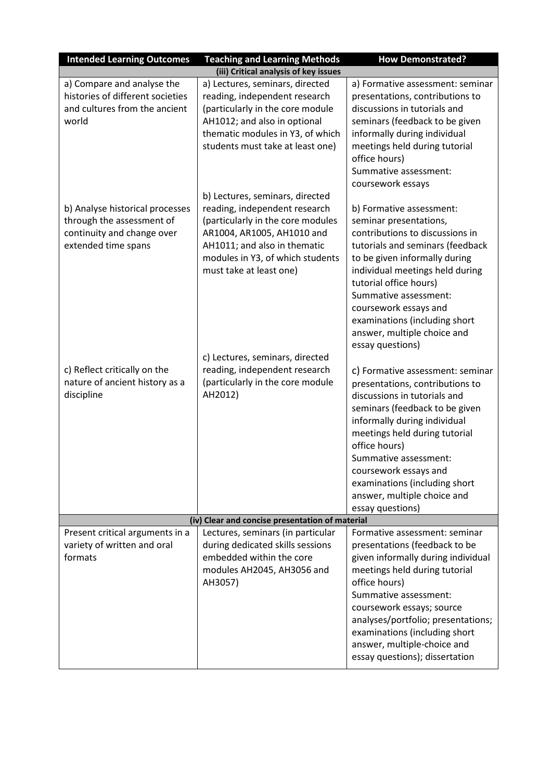| <b>Intended Learning Outcomes</b>                                                                                 | <b>Teaching and Learning Methods</b>                                                                                                                                                                                               | <b>How Demonstrated?</b>                                                                                                                                                                                                                                                                                                                                      |
|-------------------------------------------------------------------------------------------------------------------|------------------------------------------------------------------------------------------------------------------------------------------------------------------------------------------------------------------------------------|---------------------------------------------------------------------------------------------------------------------------------------------------------------------------------------------------------------------------------------------------------------------------------------------------------------------------------------------------------------|
|                                                                                                                   | (iii) Critical analysis of key issues                                                                                                                                                                                              |                                                                                                                                                                                                                                                                                                                                                               |
| a) Compare and analyse the<br>histories of different societies<br>and cultures from the ancient<br>world          | a) Lectures, seminars, directed<br>reading, independent research<br>(particularly in the core module<br>AH1012; and also in optional<br>thematic modules in Y3, of which<br>students must take at least one)                       | a) Formative assessment: seminar<br>presentations, contributions to<br>discussions in tutorials and<br>seminars (feedback to be given<br>informally during individual<br>meetings held during tutorial<br>office hours)<br>Summative assessment:<br>coursework essays                                                                                         |
| b) Analyse historical processes<br>through the assessment of<br>continuity and change over<br>extended time spans | b) Lectures, seminars, directed<br>reading, independent research<br>(particularly in the core modules<br>AR1004, AR1005, AH1010 and<br>AH1011; and also in thematic<br>modules in Y3, of which students<br>must take at least one) | b) Formative assessment:<br>seminar presentations,<br>contributions to discussions in<br>tutorials and seminars (feedback<br>to be given informally during<br>individual meetings held during<br>tutorial office hours)<br>Summative assessment:<br>coursework essays and<br>examinations (including short<br>answer, multiple choice and<br>essay questions) |
| c) Reflect critically on the<br>nature of ancient history as a<br>discipline                                      | c) Lectures, seminars, directed<br>reading, independent research<br>(particularly in the core module<br>AH2012)                                                                                                                    | c) Formative assessment: seminar<br>presentations, contributions to<br>discussions in tutorials and<br>seminars (feedback to be given<br>informally during individual<br>meetings held during tutorial<br>office hours)<br>Summative assessment:<br>coursework essays and<br>examinations (including short<br>answer, multiple choice and<br>essay questions) |
|                                                                                                                   | (iv) Clear and concise presentation of material                                                                                                                                                                                    |                                                                                                                                                                                                                                                                                                                                                               |
| Present critical arguments in a<br>variety of written and oral<br>formats                                         | Lectures, seminars (in particular<br>during dedicated skills sessions<br>embedded within the core<br>modules AH2045, AH3056 and<br>AH3057)                                                                                         | Formative assessment: seminar<br>presentations (feedback to be<br>given informally during individual<br>meetings held during tutorial<br>office hours)<br>Summative assessment:<br>coursework essays; source<br>analyses/portfolio; presentations;<br>examinations (including short<br>answer, multiple-choice and<br>essay questions); dissertation          |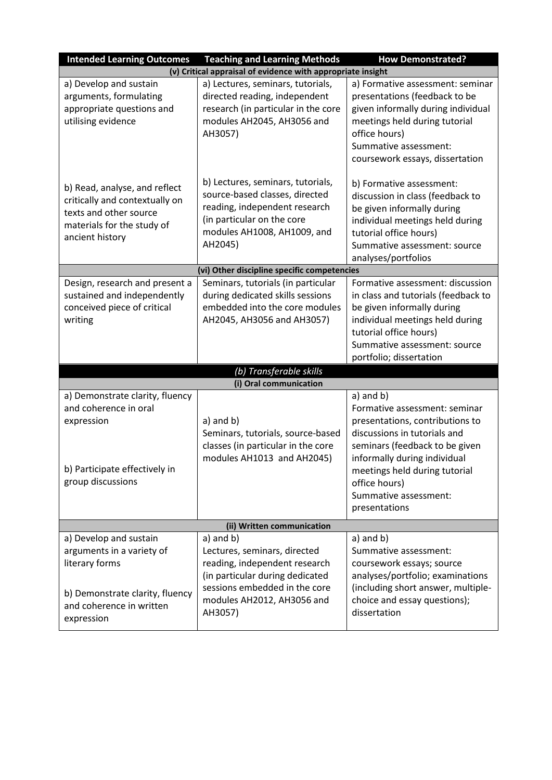| <b>Intended Learning Outcomes</b>                                                                                                                                                                                                       | <b>Teaching and Learning Methods</b>                                                                                                                                                                                                                                                                                  | <b>How Demonstrated?</b>                                                                                                                                                                                                                                                                                                                                                                                                                                                                                         |  |
|-----------------------------------------------------------------------------------------------------------------------------------------------------------------------------------------------------------------------------------------|-----------------------------------------------------------------------------------------------------------------------------------------------------------------------------------------------------------------------------------------------------------------------------------------------------------------------|------------------------------------------------------------------------------------------------------------------------------------------------------------------------------------------------------------------------------------------------------------------------------------------------------------------------------------------------------------------------------------------------------------------------------------------------------------------------------------------------------------------|--|
|                                                                                                                                                                                                                                         | (v) Critical appraisal of evidence with appropriate insight                                                                                                                                                                                                                                                           |                                                                                                                                                                                                                                                                                                                                                                                                                                                                                                                  |  |
| a) Develop and sustain<br>arguments, formulating<br>appropriate questions and<br>utilising evidence                                                                                                                                     | a) Lectures, seminars, tutorials,<br>directed reading, independent<br>research (in particular in the core<br>modules AH2045, AH3056 and<br>AH3057)                                                                                                                                                                    | a) Formative assessment: seminar<br>presentations (feedback to be<br>given informally during individual<br>meetings held during tutorial<br>office hours)<br>Summative assessment:<br>coursework essays, dissertation                                                                                                                                                                                                                                                                                            |  |
| b) Read, analyse, and reflect<br>critically and contextually on<br>texts and other source<br>materials for the study of<br>ancient history                                                                                              | b) Lectures, seminars, tutorials,<br>source-based classes, directed<br>reading, independent research<br>(in particular on the core<br>modules AH1008, AH1009, and<br>AH2045)                                                                                                                                          | b) Formative assessment:<br>discussion in class (feedback to<br>be given informally during<br>individual meetings held during<br>tutorial office hours)<br>Summative assessment: source<br>analyses/portfolios                                                                                                                                                                                                                                                                                                   |  |
|                                                                                                                                                                                                                                         | (vi) Other discipline specific competencies                                                                                                                                                                                                                                                                           |                                                                                                                                                                                                                                                                                                                                                                                                                                                                                                                  |  |
| Design, research and present a<br>sustained and independently<br>conceived piece of critical<br>writing<br>a) Demonstrate clarity, fluency<br>and coherence in oral<br>expression<br>b) Participate effectively in<br>group discussions | Seminars, tutorials (in particular<br>during dedicated skills sessions<br>embedded into the core modules<br>AH2045, AH3056 and AH3057)<br>(b) Transferable skills<br>(i) Oral communication<br>$a)$ and $b)$<br>Seminars, tutorials, source-based<br>classes (in particular in the core<br>modules AH1013 and AH2045) | Formative assessment: discussion<br>in class and tutorials (feedback to<br>be given informally during<br>individual meetings held during<br>tutorial office hours)<br>Summative assessment: source<br>portfolio; dissertation<br>$a)$ and $b)$<br>Formative assessment: seminar<br>presentations, contributions to<br>discussions in tutorials and<br>seminars (feedback to be given<br>informally during individual<br>meetings held during tutorial<br>office hours)<br>Summative assessment:<br>presentations |  |
| (ii) Written communication                                                                                                                                                                                                              |                                                                                                                                                                                                                                                                                                                       |                                                                                                                                                                                                                                                                                                                                                                                                                                                                                                                  |  |
| a) Develop and sustain<br>arguments in a variety of<br>literary forms<br>b) Demonstrate clarity, fluency<br>and coherence in written<br>expression                                                                                      | $a)$ and $b)$<br>Lectures, seminars, directed<br>reading, independent research<br>(in particular during dedicated<br>sessions embedded in the core<br>modules AH2012, AH3056 and<br>AH3057)                                                                                                                           | a) and b)<br>Summative assessment:<br>coursework essays; source<br>analyses/portfolio; examinations<br>(including short answer, multiple-<br>choice and essay questions);<br>dissertation                                                                                                                                                                                                                                                                                                                        |  |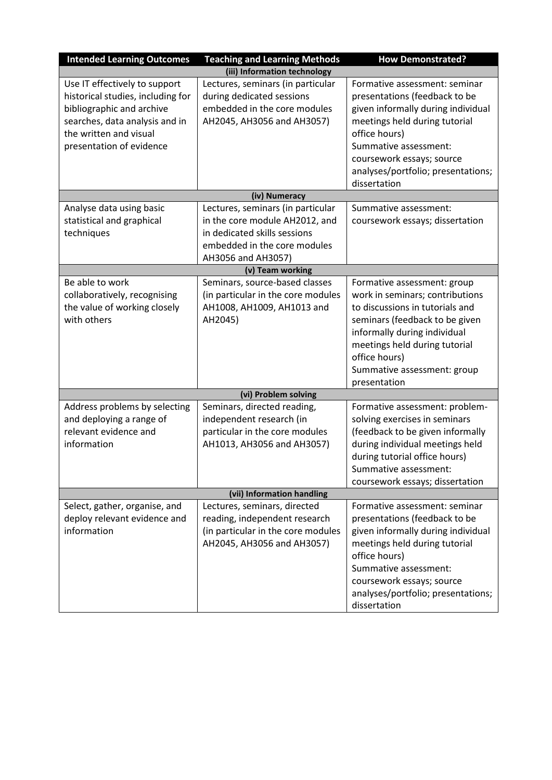| <b>Intended Learning Outcomes</b>                 | <b>Teaching and Learning Methods</b> | <b>How Demonstrated?</b>           |
|---------------------------------------------------|--------------------------------------|------------------------------------|
|                                                   | (iii) Information technology         |                                    |
| Use IT effectively to support                     | Lectures, seminars (in particular    | Formative assessment: seminar      |
| historical studies, including for                 | during dedicated sessions            | presentations (feedback to be      |
| bibliographic and archive                         | embedded in the core modules         | given informally during individual |
| searches, data analysis and in                    | AH2045, AH3056 and AH3057)           | meetings held during tutorial      |
| the written and visual                            |                                      | office hours)                      |
| presentation of evidence                          |                                      | Summative assessment:              |
|                                                   |                                      | coursework essays; source          |
|                                                   |                                      | analyses/portfolio; presentations; |
|                                                   |                                      | dissertation                       |
|                                                   | (iv) Numeracy                        |                                    |
| Analyse data using basic                          | Lectures, seminars (in particular    | Summative assessment:              |
| statistical and graphical                         | in the core module AH2012, and       | coursework essays; dissertation    |
| techniques                                        | in dedicated skills sessions         |                                    |
|                                                   | embedded in the core modules         |                                    |
|                                                   | AH3056 and AH3057)                   |                                    |
|                                                   | (v) Team working                     |                                    |
| Be able to work                                   | Seminars, source-based classes       | Formative assessment: group        |
| collaboratively, recognising                      | (in particular in the core modules   | work in seminars; contributions    |
| the value of working closely                      | AH1008, AH1009, AH1013 and           | to discussions in tutorials and    |
| with others                                       | AH2045)                              | seminars (feedback to be given     |
|                                                   |                                      | informally during individual       |
|                                                   |                                      | meetings held during tutorial      |
|                                                   |                                      | office hours)                      |
|                                                   |                                      | Summative assessment: group        |
|                                                   |                                      | presentation                       |
|                                                   | (vi) Problem solving                 |                                    |
| Address problems by selecting                     | Seminars, directed reading,          | Formative assessment: problem-     |
| and deploying a range of<br>relevant evidence and | independent research (in             | solving exercises in seminars      |
| information                                       | particular in the core modules       | (feedback to be given informally   |
|                                                   | AH1013, AH3056 and AH3057)           | during individual meetings held    |
|                                                   |                                      | during tutorial office hours)      |
|                                                   |                                      | Summative assessment:              |
|                                                   | (vii) Information handling           | coursework essays; dissertation    |
| Select, gather, organise, and                     | Lectures, seminars, directed         | Formative assessment: seminar      |
| deploy relevant evidence and                      | reading, independent research        | presentations (feedback to be      |
| information                                       | (in particular in the core modules   | given informally during individual |
|                                                   | AH2045, AH3056 and AH3057)           | meetings held during tutorial      |
|                                                   |                                      | office hours)                      |
|                                                   |                                      | Summative assessment:              |
|                                                   |                                      | coursework essays; source          |
|                                                   |                                      | analyses/portfolio; presentations; |
|                                                   |                                      | dissertation                       |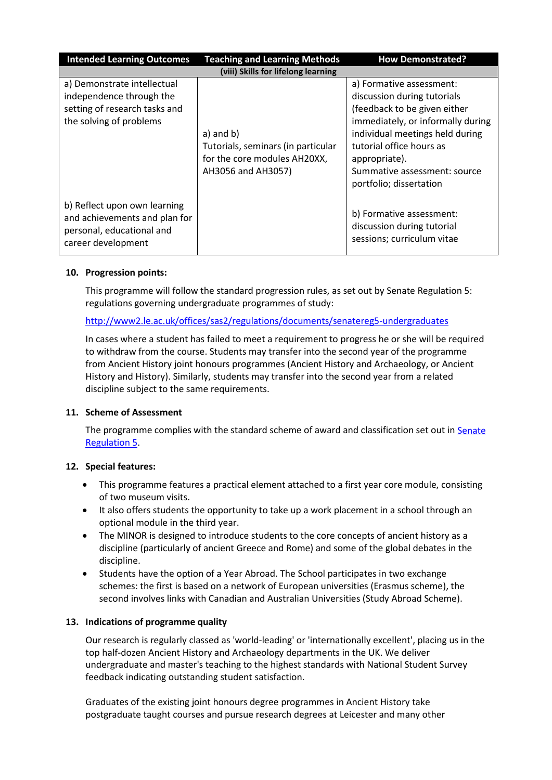| <b>Intended Learning Outcomes</b>                                                                                   | <b>Teaching and Learning Methods</b>                                                                      | <b>How Demonstrated?</b>                                                                                                                                                                                                                                                |  |  |  |  |
|---------------------------------------------------------------------------------------------------------------------|-----------------------------------------------------------------------------------------------------------|-------------------------------------------------------------------------------------------------------------------------------------------------------------------------------------------------------------------------------------------------------------------------|--|--|--|--|
|                                                                                                                     | (viii) Skills for lifelong learning                                                                       |                                                                                                                                                                                                                                                                         |  |  |  |  |
| a) Demonstrate intellectual<br>independence through the<br>setting of research tasks and<br>the solving of problems | $a)$ and $b)$<br>Tutorials, seminars (in particular<br>for the core modules AH20XX,<br>AH3056 and AH3057) | a) Formative assessment:<br>discussion during tutorials<br>(feedback to be given either<br>immediately, or informally during<br>individual meetings held during<br>tutorial office hours as<br>appropriate).<br>Summative assessment: source<br>portfolio; dissertation |  |  |  |  |
| b) Reflect upon own learning<br>and achievements and plan for<br>personal, educational and<br>career development    |                                                                                                           | b) Formative assessment:<br>discussion during tutorial<br>sessions; curriculum vitae                                                                                                                                                                                    |  |  |  |  |

# **10. Progression points:**

This programme will follow the standard progression rules, as set out by Senate Regulation 5: regulations governing undergraduate programmes of study:

# <http://www2.le.ac.uk/offices/sas2/regulations/documents/senatereg5-undergraduates>

In cases where a student has failed to meet a requirement to progress he or she will be required to withdraw from the course. Students may transfer into the second year of the programme from Ancient History joint honours programmes (Ancient History and Archaeology, or Ancient History and History). Similarly, students may transfer into the second year from a related discipline subject to the same requirements.

# **11. Scheme of Assessment**

The programme complies with the standard scheme of award and classification set out in Senate [Regulation 5.](http://www2.le.ac.uk/offices/sas2/regulations/documents/senatereg5-undergraduates)

# **12. Special features:**

- This programme features a practical element attached to a first year core module, consisting of two museum visits.
- It also offers students the opportunity to take up a work placement in a school through an optional module in the third year.
- The MINOR is designed to introduce students to the core concepts of ancient history as a discipline (particularly of ancient Greece and Rome) and some of the global debates in the discipline.
- Students have the option of a Year Abroad. The School participates in two exchange schemes: the first is based on a network of European universities (Erasmus scheme), the second involves links with Canadian and Australian Universities (Study Abroad Scheme).

# **13. Indications of programme quality**

Our research is regularly classed as 'world-leading' or 'internationally excellent', placing us in the top half-dozen Ancient History and Archaeology departments in the UK. We deliver undergraduate and master's teaching to the highest standards with National Student Survey feedback indicating outstanding student satisfaction.

Graduates of the existing joint honours degree programmes in Ancient History take postgraduate taught courses and pursue research degrees at Leicester and many other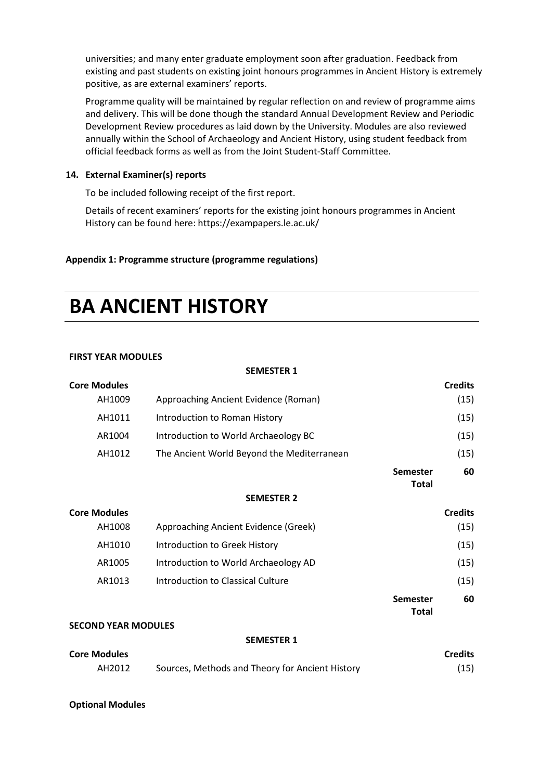universities; and many enter graduate employment soon after graduation. Feedback from existing and past students on existing joint honours programmes in Ancient History is extremely positive, as are external examiners' reports.

Programme quality will be maintained by regular reflection on and review of programme aims and delivery. This will be done though the standard Annual Development Review and Periodic Development Review procedures as laid down by the University. Modules are also reviewed annually within the School of Archaeology and Ancient History, using student feedback from official feedback forms as well as from the Joint Student-Staff Committee.

# **14. External Examiner(s) reports**

To be included following receipt of the first report.

Details of recent examiners' reports for the existing joint honours programmes in Ancient History can be found here: https://exampapers.le.ac.uk/

# **Appendix 1: Programme structure (programme regulations)**

# **BA ANCIENT HISTORY**

# **FIRST YEAR MODULES**

|                            | <b>SEMESTER 1</b>                               |                          |                |
|----------------------------|-------------------------------------------------|--------------------------|----------------|
| <b>Core Modules</b>        |                                                 |                          | <b>Credits</b> |
| AH1009                     | Approaching Ancient Evidence (Roman)            |                          | (15)           |
| AH1011                     | Introduction to Roman History                   |                          | (15)           |
| AR1004                     | Introduction to World Archaeology BC            |                          | (15)           |
| AH1012                     | The Ancient World Beyond the Mediterranean      |                          | (15)           |
|                            |                                                 | Semester<br><b>Total</b> | 60             |
|                            | <b>SEMESTER 2</b>                               |                          |                |
| <b>Core Modules</b>        |                                                 |                          | <b>Credits</b> |
| AH1008                     | Approaching Ancient Evidence (Greek)            |                          | (15)           |
| AH1010                     | Introduction to Greek History                   |                          | (15)           |
| AR1005                     | Introduction to World Archaeology AD            |                          | (15)           |
| AR1013                     | <b>Introduction to Classical Culture</b>        |                          | (15)           |
|                            |                                                 | Semester<br><b>Total</b> | 60             |
| <b>SECOND YEAR MODULES</b> |                                                 |                          |                |
|                            | <b>SEMESTER 1</b>                               |                          |                |
| <b>Core Modules</b>        |                                                 |                          | <b>Credits</b> |
| AH2012                     | Sources, Methods and Theory for Ancient History |                          | (15)           |

# **Optional Modules**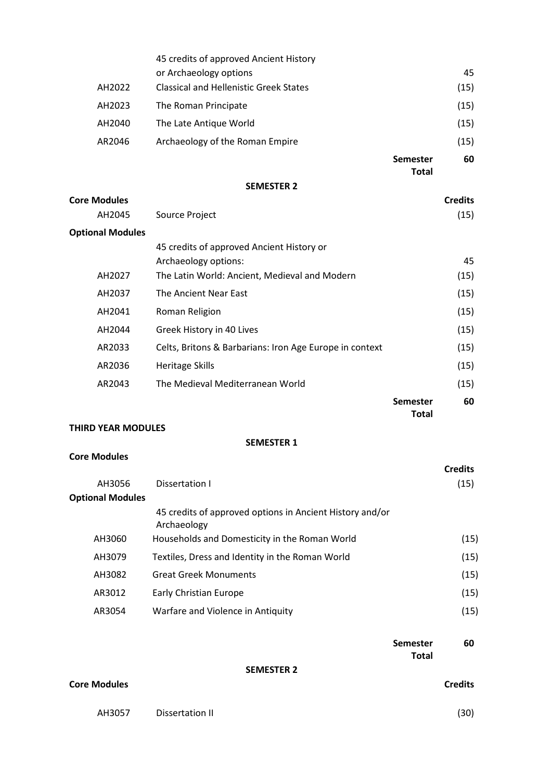|                               | 45 credits of approved Ancient History                            |                                 |                |
|-------------------------------|-------------------------------------------------------------------|---------------------------------|----------------|
|                               | or Archaeology options                                            |                                 | 45             |
| AH2022                        | <b>Classical and Hellenistic Greek States</b>                     |                                 | (15)           |
| AH2023                        | The Roman Principate                                              |                                 | (15)           |
| AH2040                        | The Late Antique World                                            |                                 | (15)           |
| AR2046                        | Archaeology of the Roman Empire                                   |                                 | (15)           |
|                               |                                                                   | <b>Semester</b>                 | 60             |
|                               |                                                                   | <b>Total</b>                    |                |
|                               | <b>SEMESTER 2</b>                                                 |                                 |                |
| <b>Core Modules</b><br>AH2045 |                                                                   |                                 | <b>Credits</b> |
|                               | Source Project                                                    |                                 | (15)           |
| <b>Optional Modules</b>       |                                                                   |                                 |                |
|                               | 45 credits of approved Ancient History or<br>Archaeology options: |                                 | 45             |
| AH2027                        | The Latin World: Ancient, Medieval and Modern                     |                                 | (15)           |
| AH2037                        | The Ancient Near East                                             |                                 | (15)           |
| AH2041                        | Roman Religion                                                    |                                 | (15)           |
| AH2044                        | Greek History in 40 Lives                                         |                                 | (15)           |
| AR2033                        | Celts, Britons & Barbarians: Iron Age Europe in context           |                                 | (15)           |
| AR2036                        | <b>Heritage Skills</b>                                            |                                 | (15)           |
| AR2043                        | The Medieval Mediterranean World                                  |                                 | (15)           |
|                               |                                                                   | <b>Semester</b><br><b>Total</b> | 60             |
| <b>THIRD YEAR MODULES</b>     |                                                                   |                                 |                |
|                               | <b>SEMESTER 1</b>                                                 |                                 |                |
| <b>Core Modules</b>           |                                                                   |                                 | <b>Credits</b> |
| AH3056                        | <b>Dissertation I</b>                                             |                                 | (15)           |
| <b>Optional Modules</b>       |                                                                   |                                 |                |
|                               | 45 credits of approved options in Ancient History and/or          |                                 |                |

|        | 45 credits of approved options in Ancient History and/or<br>Archaeology |      |
|--------|-------------------------------------------------------------------------|------|
| AH3060 | Households and Domesticity in the Roman World                           | (15) |
| AH3079 | Textiles, Dress and Identity in the Roman World                         | (15) |
| AH3082 | <b>Great Greek Monuments</b>                                            | (15) |
| AR3012 | <b>Early Christian Europe</b>                                           | (15) |
| AR3054 | Warfare and Violence in Antiquity                                       | (15) |

|                     |                   | Semester<br><b>Total</b> | 60             |
|---------------------|-------------------|--------------------------|----------------|
|                     | <b>SEMESTER 2</b> |                          |                |
| <b>Core Modules</b> |                   |                          | <b>Credits</b> |

AH3057 Dissertation II (30)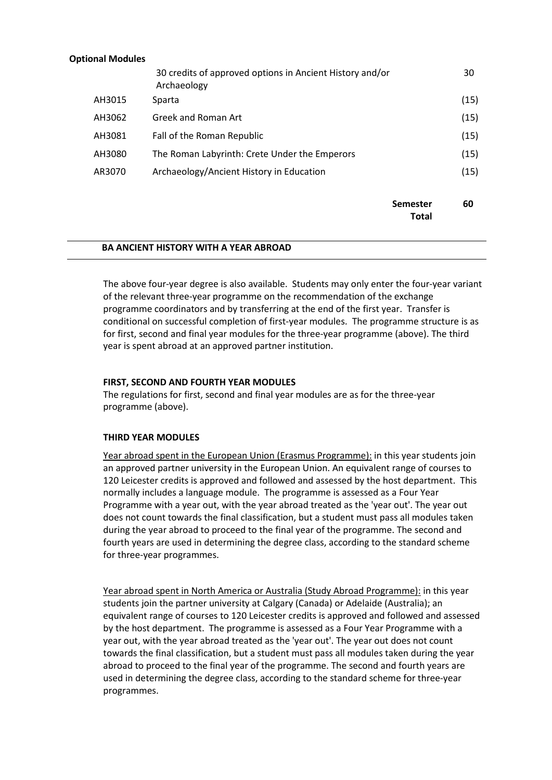### **Optional Modules**

|        | <b>Semester</b><br><b>Total</b>                                         | 60   |
|--------|-------------------------------------------------------------------------|------|
| AR3070 | Archaeology/Ancient History in Education                                | (15) |
| AH3080 | The Roman Labyrinth: Crete Under the Emperors                           | (15) |
| AH3081 | Fall of the Roman Republic                                              | (15) |
| AH3062 | Greek and Roman Art                                                     | (15) |
| AH3015 | Sparta                                                                  | (15) |
|        | 30 credits of approved options in Ancient History and/or<br>Archaeology | 30   |

### **BA ANCIENT HISTORY WITH A YEAR ABROAD**

The above four-year degree is also available. Students may only enter the four-year variant of the relevant three-year programme on the recommendation of the exchange programme coordinators and by transferring at the end of the first year. Transfer is conditional on successful completion of first-year modules. The programme structure is as for first, second and final year modules for the three-year programme (above). The third year is spent abroad at an approved partner institution.

### **FIRST, SECOND AND FOURTH YEAR MODULES**

The regulations for first, second and final year modules are as for the three-year programme (above).

# **THIRD YEAR MODULES**

Year abroad spent in the European Union (Erasmus Programme): in this year students join an approved partner university in the European Union. An equivalent range of courses to 120 Leicester credits is approved and followed and assessed by the host department. This normally includes a language module. The programme is assessed as a Four Year Programme with a year out, with the year abroad treated as the 'year out'. The year out does not count towards the final classification, but a student must pass all modules taken during the year abroad to proceed to the final year of the programme. The second and fourth years are used in determining the degree class, according to the standard scheme for three-year programmes.

Year abroad spent in North America or Australia (Study Abroad Programme): in this year students join the partner university at Calgary (Canada) or Adelaide (Australia); an equivalent range of courses to 120 Leicester credits is approved and followed and assessed by the host department. The programme is assessed as a Four Year Programme with a year out, with the year abroad treated as the 'year out'. The year out does not count towards the final classification, but a student must pass all modules taken during the year abroad to proceed to the final year of the programme. The second and fourth years are used in determining the degree class, according to the standard scheme for three-year programmes.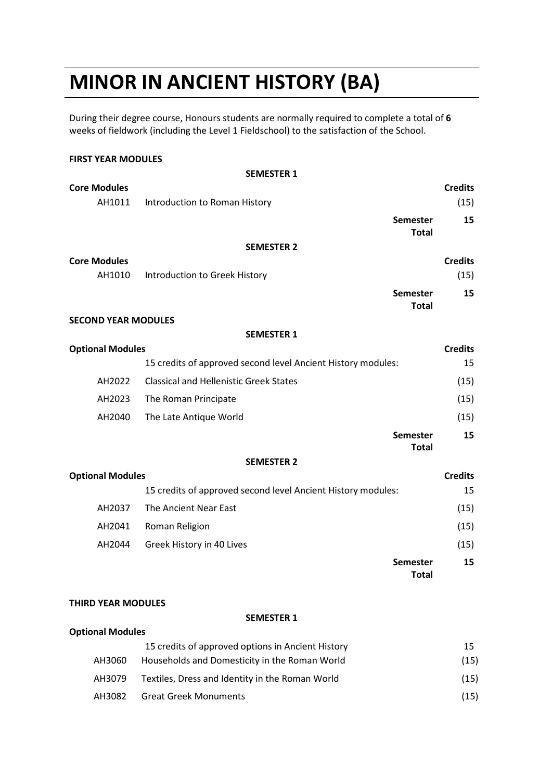# **MINOR IN ANCIENT HISTORY (BA)**

During their degree course, Honours students are normally required to complete a total of **6** weeks of fieldwork (including the Level 1 Fieldschool) to the satisfaction of the School.

# **FIRST YEAR MODULES**

|                            | <b>SEMESTER 1</b>                                            |                |
|----------------------------|--------------------------------------------------------------|----------------|
| <b>Core Modules</b>        |                                                              | <b>Credits</b> |
| AH1011                     | Introduction to Roman History                                | (15)           |
|                            | Semester<br><b>Total</b>                                     | 15             |
|                            | <b>SEMESTER 2</b>                                            |                |
| <b>Core Modules</b>        |                                                              | <b>Credits</b> |
| AH1010                     | Introduction to Greek History                                | (15)           |
|                            | <b>Semester</b><br><b>Total</b>                              | 15             |
| <b>SECOND YEAR MODULES</b> |                                                              |                |
|                            | <b>SEMESTER 1</b>                                            |                |
| <b>Optional Modules</b>    |                                                              | <b>Credits</b> |
|                            | 15 credits of approved second level Ancient History modules: | 15             |
| AH2022                     | <b>Classical and Hellenistic Greek States</b>                | (15)           |
| AH2023                     | The Roman Principate                                         | (15)           |
| AH2040                     | The Late Antique World                                       | (15)           |
|                            | <b>Semester</b><br><b>Total</b>                              | 15             |
|                            | <b>SEMESTER 2</b>                                            |                |
| <b>Optional Modules</b>    |                                                              | <b>Credits</b> |
|                            | 15 credits of approved second level Ancient History modules: | 15             |
| AH2037                     | The Ancient Near East                                        | (15)           |
| AH2041                     | Roman Religion                                               | (15)           |
| AH2044                     | Greek History in 40 Lives                                    | (15)           |
|                            | <b>Semester</b><br><b>Total</b>                              | 15             |
|                            |                                                              |                |

### **THIRD YEAR MODULES**

#### **SEMESTER 1**

### **Optional Modules**

|        | 15 credits of approved options in Ancient History | 15   |
|--------|---------------------------------------------------|------|
| AH3060 | Households and Domesticity in the Roman World     | (15) |
| AH3079 | Textiles, Dress and Identity in the Roman World   | (15) |
| AH3082 | <b>Great Greek Monuments</b>                      | (15) |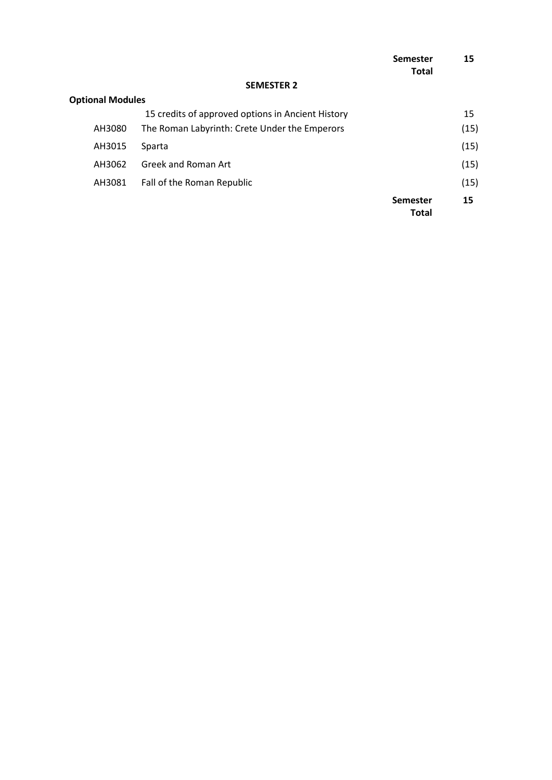|                         |                                                   | Semester<br><b>Total</b>        | 15   |
|-------------------------|---------------------------------------------------|---------------------------------|------|
|                         | <b>SEMESTER 2</b>                                 |                                 |      |
| <b>Optional Modules</b> |                                                   |                                 |      |
|                         | 15 credits of approved options in Ancient History |                                 | 15   |
| AH3080                  | The Roman Labyrinth: Crete Under the Emperors     |                                 | (15) |
| AH3015                  | Sparta                                            |                                 | (15) |
| AH3062                  | Greek and Roman Art                               |                                 | (15) |
| AH3081                  | Fall of the Roman Republic                        |                                 | (15) |
|                         |                                                   | <b>Semester</b><br><b>Total</b> | 15   |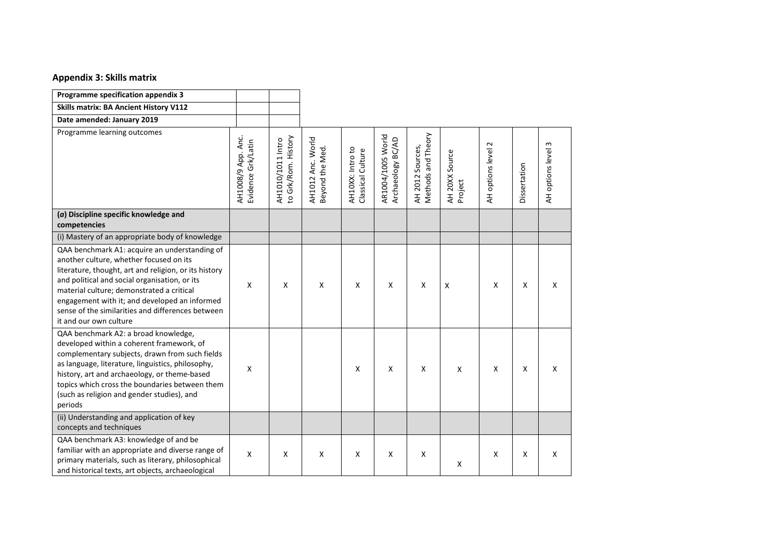### **Appendix 3: Skills matrix**

| Programme specification appendix 3                                                                                                                                                                                                                                                                                                                                              |                                          |                                          |                                      |                                       |                                        |                                        |                           |                           |              |                       |
|---------------------------------------------------------------------------------------------------------------------------------------------------------------------------------------------------------------------------------------------------------------------------------------------------------------------------------------------------------------------------------|------------------------------------------|------------------------------------------|--------------------------------------|---------------------------------------|----------------------------------------|----------------------------------------|---------------------------|---------------------------|--------------|-----------------------|
| <b>Skills matrix: BA Ancient History V112</b>                                                                                                                                                                                                                                                                                                                                   |                                          |                                          |                                      |                                       |                                        |                                        |                           |                           |              |                       |
| Date amended: January 2019                                                                                                                                                                                                                                                                                                                                                      |                                          |                                          |                                      |                                       |                                        |                                        |                           |                           |              |                       |
| Programme learning outcomes                                                                                                                                                                                                                                                                                                                                                     | AH1008/9 App. Anc.<br>Evidence Grk/Latin | to Grk/Rom. History<br>AH1010/1011 Intro | AH1012 Anc. World<br>Beyond the Med. | AH10XX: Intro to<br>Classical Culture | AR1004/1005 World<br>Archaeology BC/AD | Methods and Theory<br>AH 2012 Sources, | AH 20XX Source<br>Project | AH options level 2        | Dissertation | 3<br>AH options level |
| (a) Discipline specific knowledge and<br>competencies                                                                                                                                                                                                                                                                                                                           |                                          |                                          |                                      |                                       |                                        |                                        |                           |                           |              |                       |
| (i) Mastery of an appropriate body of knowledge                                                                                                                                                                                                                                                                                                                                 |                                          |                                          |                                      |                                       |                                        |                                        |                           |                           |              |                       |
| QAA benchmark A1: acquire an understanding of<br>another culture, whether focused on its<br>literature, thought, art and religion, or its history<br>and political and social organisation, or its<br>material culture; demonstrated a critical<br>engagement with it; and developed an informed<br>sense of the similarities and differences between<br>it and our own culture | X                                        | X                                        | X                                    | X                                     | X                                      | X                                      | $\boldsymbol{\mathsf{X}}$ | $\boldsymbol{\mathsf{X}}$ | X            | X                     |
| QAA benchmark A2: a broad knowledge,<br>developed within a coherent framework, of<br>complementary subjects, drawn from such fields<br>as language, literature, linguistics, philosophy,<br>history, art and archaeology, or theme-based<br>topics which cross the boundaries between them<br>(such as religion and gender studies), and<br>periods                             | X                                        |                                          |                                      | X                                     | X                                      | X                                      | X                         | X                         | X            | X                     |
| (ii) Understanding and application of key<br>concepts and techniques                                                                                                                                                                                                                                                                                                            |                                          |                                          |                                      |                                       |                                        |                                        |                           |                           |              |                       |
| QAA benchmark A3: knowledge of and be<br>familiar with an appropriate and diverse range of<br>primary materials, such as literary, philosophical<br>and historical texts, art objects, archaeological                                                                                                                                                                           | X                                        | X                                        | X                                    | x                                     | X                                      | X                                      | x                         | $\boldsymbol{\mathsf{X}}$ | X            | X                     |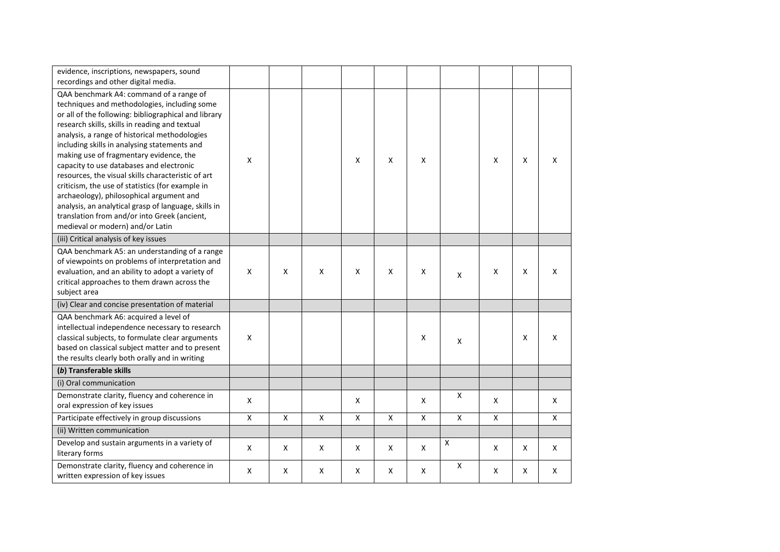| evidence, inscriptions, newspapers, sound<br>recordings and other digital media.                                                                                                                                                                                                                                                                                                                                                                                                                                                                                                                                                                                                            |                    |                    |                    |                |                |              |                |                |              |   |
|---------------------------------------------------------------------------------------------------------------------------------------------------------------------------------------------------------------------------------------------------------------------------------------------------------------------------------------------------------------------------------------------------------------------------------------------------------------------------------------------------------------------------------------------------------------------------------------------------------------------------------------------------------------------------------------------|--------------------|--------------------|--------------------|----------------|----------------|--------------|----------------|----------------|--------------|---|
| QAA benchmark A4: command of a range of<br>techniques and methodologies, including some<br>or all of the following: bibliographical and library<br>research skills, skills in reading and textual<br>analysis, a range of historical methodologies<br>including skills in analysing statements and<br>making use of fragmentary evidence, the<br>capacity to use databases and electronic<br>resources, the visual skills characteristic of art<br>criticism, the use of statistics (for example in<br>archaeology), philosophical argument and<br>analysis, an analytical grasp of language, skills in<br>translation from and/or into Greek (ancient,<br>medieval or modern) and/or Latin | X                  |                    |                    | $\pmb{\times}$ | X              | X            |                | Χ              | $\mathsf{X}$ | X |
| (iii) Critical analysis of key issues                                                                                                                                                                                                                                                                                                                                                                                                                                                                                                                                                                                                                                                       |                    |                    |                    |                |                |              |                |                |              |   |
| QAA benchmark A5: an understanding of a range<br>of viewpoints on problems of interpretation and<br>evaluation, and an ability to adopt a variety of<br>critical approaches to them drawn across the<br>subject area                                                                                                                                                                                                                                                                                                                                                                                                                                                                        | X                  | X                  | X                  | X              | X              | X            | X              | Χ              | X            | X |
| (iv) Clear and concise presentation of material                                                                                                                                                                                                                                                                                                                                                                                                                                                                                                                                                                                                                                             |                    |                    |                    |                |                |              |                |                |              |   |
| QAA benchmark A6: acquired a level of<br>intellectual independence necessary to research<br>classical subjects, to formulate clear arguments<br>based on classical subject matter and to present<br>the results clearly both orally and in writing                                                                                                                                                                                                                                                                                                                                                                                                                                          | Χ                  |                    |                    |                |                | X            | Χ              |                | $\mathsf{X}$ | X |
| (b) Transferable skills                                                                                                                                                                                                                                                                                                                                                                                                                                                                                                                                                                                                                                                                     |                    |                    |                    |                |                |              |                |                |              |   |
| (i) Oral communication                                                                                                                                                                                                                                                                                                                                                                                                                                                                                                                                                                                                                                                                      |                    |                    |                    |                |                |              |                |                |              |   |
| Demonstrate clarity, fluency and coherence in<br>oral expression of key issues                                                                                                                                                                                                                                                                                                                                                                                                                                                                                                                                                                                                              | X                  |                    |                    | X              |                | X            | X              | X              |              | X |
| Participate effectively in group discussions                                                                                                                                                                                                                                                                                                                                                                                                                                                                                                                                                                                                                                                | $\pmb{\mathsf{X}}$ | $\pmb{\mathsf{X}}$ | $\pmb{\mathsf{X}}$ | $\pmb{\times}$ | $\pmb{\times}$ | $\mathsf{X}$ | $\pmb{\chi}$   | $\pmb{\times}$ |              | X |
| (ii) Written communication                                                                                                                                                                                                                                                                                                                                                                                                                                                                                                                                                                                                                                                                  |                    |                    |                    |                |                |              |                |                |              |   |
| Develop and sustain arguments in a variety of<br>literary forms                                                                                                                                                                                                                                                                                                                                                                                                                                                                                                                                                                                                                             | X                  | X                  | X                  | X              | X              | X            | Χ              | X              | X            | X |
| Demonstrate clarity, fluency and coherence in<br>written expression of key issues                                                                                                                                                                                                                                                                                                                                                                                                                                                                                                                                                                                                           | Χ                  | X                  | X                  | x              | X              | X            | $\pmb{\times}$ | X              | Χ            | X |
|                                                                                                                                                                                                                                                                                                                                                                                                                                                                                                                                                                                                                                                                                             |                    |                    |                    |                |                |              |                |                |              |   |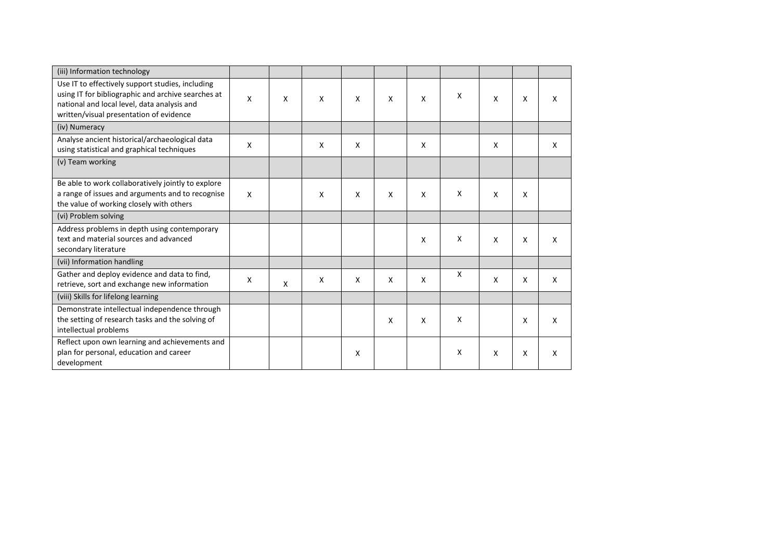| (iii) Information technology                                                                                                                                                                     |                           |   |   |   |   |              |              |   |                           |                           |
|--------------------------------------------------------------------------------------------------------------------------------------------------------------------------------------------------|---------------------------|---|---|---|---|--------------|--------------|---|---------------------------|---------------------------|
| Use IT to effectively support studies, including<br>using IT for bibliographic and archive searches at<br>national and local level, data analysis and<br>written/visual presentation of evidence | X                         | X | X | X | X | $\mathsf{x}$ | X            | X | $\boldsymbol{\mathsf{x}}$ | X                         |
| (iv) Numeracy                                                                                                                                                                                    |                           |   |   |   |   |              |              |   |                           |                           |
| Analyse ancient historical/archaeological data<br>using statistical and graphical techniques                                                                                                     | X                         |   | X | X |   | X            |              | X |                           | X                         |
| (v) Team working                                                                                                                                                                                 |                           |   |   |   |   |              |              |   |                           |                           |
| Be able to work collaboratively jointly to explore<br>a range of issues and arguments and to recognise<br>the value of working closely with others                                               | $\boldsymbol{\mathsf{X}}$ |   | X | X | x | X            | X            | X | X                         |                           |
| (vi) Problem solving                                                                                                                                                                             |                           |   |   |   |   |              |              |   |                           |                           |
| Address problems in depth using contemporary<br>text and material sources and advanced<br>secondary literature                                                                                   |                           |   |   |   |   | X            | $\mathsf{x}$ | X | X                         | X                         |
| (vii) Information handling                                                                                                                                                                       |                           |   |   |   |   |              |              |   |                           |                           |
| Gather and deploy evidence and data to find,<br>retrieve, sort and exchange new information                                                                                                      | $\boldsymbol{\mathsf{X}}$ | X | X | X | X | X            | $\mathsf{X}$ | X | X                         | $\boldsymbol{\mathsf{X}}$ |
| (viii) Skills for lifelong learning                                                                                                                                                              |                           |   |   |   |   |              |              |   |                           |                           |
| Demonstrate intellectual independence through<br>the setting of research tasks and the solving of<br>intellectual problems                                                                       |                           |   |   |   | X | X            | X            |   | X                         | X                         |
| Reflect upon own learning and achievements and<br>plan for personal, education and career<br>development                                                                                         |                           |   |   | Χ |   |              | X            | X | X                         | X                         |